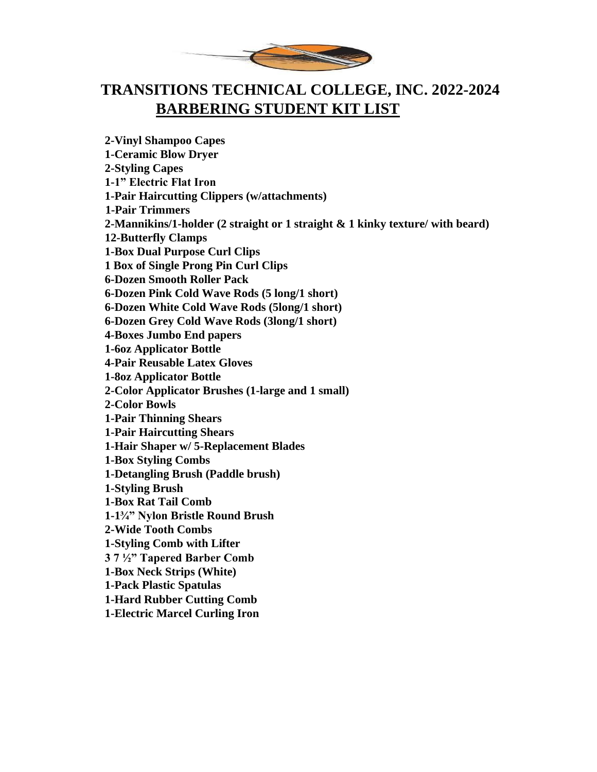

## **TRANSITIONS TECHNICAL COLLEGE, INC. 2022-2024 BARBERING STUDENT KIT LIST**

**2-Vinyl Shampoo Capes 1-Ceramic Blow Dryer 2-Styling Capes 1-1" Electric Flat Iron 1-Pair Haircutting Clippers (w/attachments) 1-Pair Trimmers 2-Mannikins/1-holder (2 straight or 1 straight & 1 kinky texture/ with beard) 12-Butterfly Clamps 1-Box Dual Purpose Curl Clips 1 Box of Single Prong Pin Curl Clips 6-Dozen Smooth Roller Pack 6-Dozen Pink Cold Wave Rods (5 long/1 short) 6-Dozen White Cold Wave Rods (5long/1 short) 6-Dozen Grey Cold Wave Rods (3long/1 short) 4-Boxes Jumbo End papers 1-6oz Applicator Bottle 4-Pair Reusable Latex Gloves 1-8oz Applicator Bottle 2-Color Applicator Brushes (1-large and 1 small) 2-Color Bowls 1-Pair Thinning Shears 1-Pair Haircutting Shears 1-Hair Shaper w/ 5-Replacement Blades 1-Box Styling Combs 1-Detangling Brush (Paddle brush) 1-Styling Brush 1-Box Rat Tail Comb 1-1¾" Nylon Bristle Round Brush 2-Wide Tooth Combs 1-Styling Comb with Lifter 3 7 ½" Tapered Barber Comb 1-Box Neck Strips (White) 1-Pack Plastic Spatulas 1-Hard Rubber Cutting Comb 1-Electric Marcel Curling Iron**